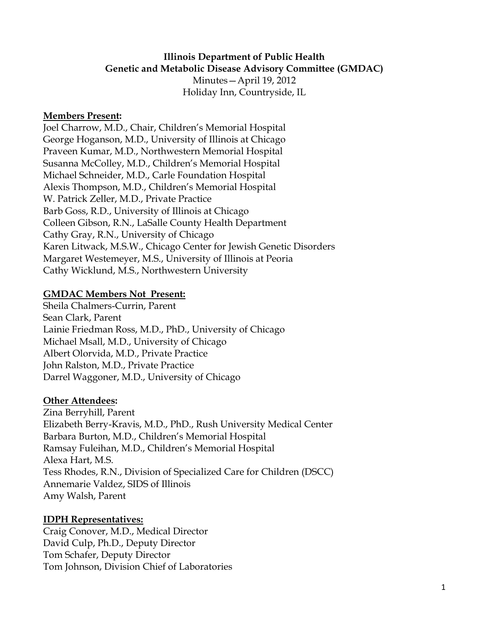#### **Illinois Department of Public Health Genetic and Metabolic Disease Advisory Committee (GMDAC)** Minutes—April 19, 2012

Holiday Inn, Countryside, IL

#### **Members Present:**

Joel Charrow, M.D., Chair, Children's Memorial Hospital George Hoganson, M.D., University of Illinois at Chicago Praveen Kumar, M.D., Northwestern Memorial Hospital Susanna McColley, M.D., Children's Memorial Hospital Michael Schneider, M.D., Carle Foundation Hospital Alexis Thompson, M.D., Children's Memorial Hospital W. Patrick Zeller, M.D., Private Practice Barb Goss, R.D., University of Illinois at Chicago Colleen Gibson, R.N., LaSalle County Health Department Cathy Gray, R.N., University of Chicago Karen Litwack, M.S.W., Chicago Center for Jewish Genetic Disorders Margaret Westemeyer, M.S., University of Illinois at Peoria Cathy Wicklund, M.S., Northwestern University

### **GMDAC Members Not Present:**

Sheila Chalmers-Currin, Parent Sean Clark, Parent Lainie Friedman Ross, M.D., PhD., University of Chicago Michael Msall, M.D., University of Chicago Albert Olorvida, M.D., Private Practice John Ralston, M.D., Private Practice Darrel Waggoner, M.D., University of Chicago

### **Other Attendees:**

Zina Berryhill, Parent Elizabeth Berry-Kravis, M.D., PhD., Rush University Medical Center Barbara Burton, M.D., Children's Memorial Hospital Ramsay Fuleihan, M.D., Children's Memorial Hospital Alexa Hart, M.S. Tess Rhodes, R.N., Division of Specialized Care for Children (DSCC) Annemarie Valdez, SIDS of Illinois Amy Walsh, Parent

## **IDPH Representatives:**

Craig Conover, M.D., Medical Director David Culp, Ph.D., Deputy Director Tom Schafer, Deputy Director Tom Johnson, Division Chief of Laboratories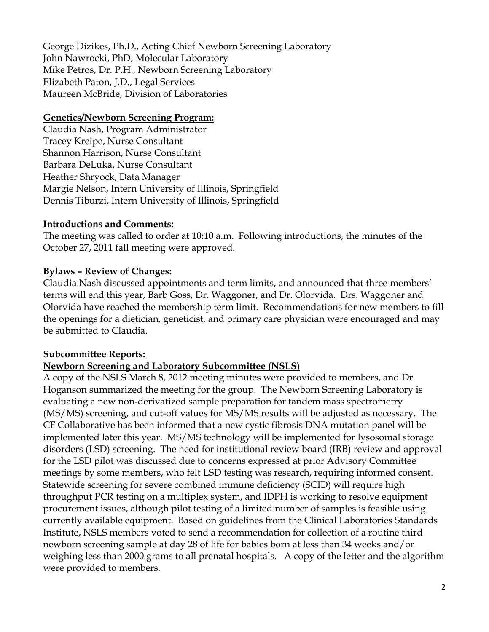George Dizikes, Ph.D., Acting Chief Newborn Screening Laboratory John Nawrocki, PhD, Molecular Laboratory Mike Petros, Dr. P.H., Newborn Screening Laboratory Elizabeth Paton, J.D., Legal Services Maureen McBride, Division of Laboratories

#### **Genetics/Newborn Screening Program:**

Claudia Nash, Program Administrator Tracey Kreipe, Nurse Consultant Shannon Harrison, Nurse Consultant Barbara DeLuka, Nurse Consultant Heather Shryock, Data Manager Margie Nelson, Intern University of Illinois, Springfield Dennis Tiburzi, Intern University of Illinois, Springfield

#### **Introductions and Comments:**

The meeting was called to order at 10:10 a.m. Following introductions, the minutes of the October 27, 2011 fall meeting were approved.

### **Bylaws – Review of Changes:**

Claudia Nash discussed appointments and term limits, and announced that three members' terms will end this year, Barb Goss, Dr. Waggoner, and Dr. Olorvida. Drs. Waggoner and Olorvida have reached the membership term limit. Recommendations for new members to fill the openings for a dietician, geneticist, and primary care physician were encouraged and may be submitted to Claudia.

### **Subcommittee Reports:**

### **Newborn Screening and Laboratory Subcommittee (NSLS)**

A copy of the NSLS March 8, 2012 meeting minutes were provided to members, and Dr. Hoganson summarized the meeting for the group. The Newborn Screening Laboratory is evaluating a new non-derivatized sample preparation for tandem mass spectrometry (MS/MS) screening, and cut-off values for MS/MS results will be adjusted as necessary. The CF Collaborative has been informed that a new cystic fibrosis DNA mutation panel will be implemented later this year. MS/MS technology will be implemented for lysosomal storage disorders (LSD) screening. The need for institutional review board (IRB) review and approval for the LSD pilot was discussed due to concerns expressed at prior Advisory Committee meetings by some members, who felt LSD testing was research, requiring informed consent. Statewide screening for severe combined immune deficiency (SCID) will require high throughput PCR testing on a multiplex system, and IDPH is working to resolve equipment procurement issues, although pilot testing of a limited number of samples is feasible using currently available equipment. Based on guidelines from the Clinical Laboratories Standards Institute, NSLS members voted to send a recommendation for collection of a routine third newborn screening sample at day 28 of life for babies born at less than 34 weeks and/or weighing less than 2000 grams to all prenatal hospitals. A copy of the letter and the algorithm were provided to members.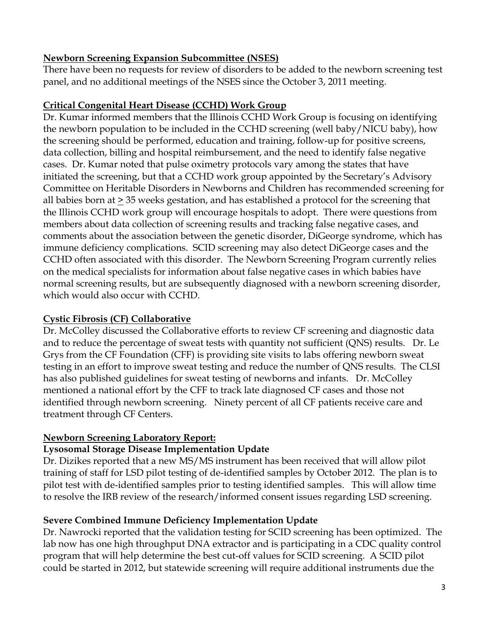### **Newborn Screening Expansion Subcommittee (NSES)**

There have been no requests for review of disorders to be added to the newborn screening test panel, and no additional meetings of the NSES since the October 3, 2011 meeting.

# **Critical Congenital Heart Disease (CCHD) Work Group**

Dr. Kumar informed members that the Illinois CCHD Work Group is focusing on identifying the newborn population to be included in the CCHD screening (well baby/NICU baby), how the screening should be performed, education and training, follow-up for positive screens, data collection, billing and hospital reimbursement, and the need to identify false negative cases. Dr. Kumar noted that pulse oximetry protocols vary among the states that have initiated the screening, but that a CCHD work group appointed by the Secretary's Advisory Committee on Heritable Disorders in Newborns and Children has recommended screening for all babies born at  $\geq$  35 weeks gestation, and has established a protocol for the screening that the Illinois CCHD work group will encourage hospitals to adopt. There were questions from members about data collection of screening results and tracking false negative cases, and comments about the association between the genetic disorder, DiGeorge syndrome, which has immune deficiency complications. SCID screening may also detect DiGeorge cases and the CCHD often associated with this disorder. The Newborn Screening Program currently relies on the medical specialists for information about false negative cases in which babies have normal screening results, but are subsequently diagnosed with a newborn screening disorder, which would also occur with CCHD.

## **Cystic Fibrosis (CF) Collaborative**

Dr. McColley discussed the Collaborative efforts to review CF screening and diagnostic data and to reduce the percentage of sweat tests with quantity not sufficient (QNS) results. Dr. Le Grys from the CF Foundation (CFF) is providing site visits to labs offering newborn sweat testing in an effort to improve sweat testing and reduce the number of QNS results. The CLSI has also published guidelines for sweat testing of newborns and infants. Dr. McColley mentioned a national effort by the CFF to track late diagnosed CF cases and those not identified through newborn screening. Ninety percent of all CF patients receive care and treatment through CF Centers.

## **Newborn Screening Laboratory Report:**

## **Lysosomal Storage Disease Implementation Update**

Dr. Dizikes reported that a new MS/MS instrument has been received that will allow pilot training of staff for LSD pilot testing of de-identified samples by October 2012. The plan is to pilot test with de-identified samples prior to testing identified samples. This will allow time to resolve the IRB review of the research/informed consent issues regarding LSD screening.

# **Severe Combined Immune Deficiency Implementation Update**

Dr. Nawrocki reported that the validation testing for SCID screening has been optimized. The lab now has one high throughput DNA extractor and is participating in a CDC quality control program that will help determine the best cut-off values for SCID screening. A SCID pilot could be started in 2012, but statewide screening will require additional instruments due the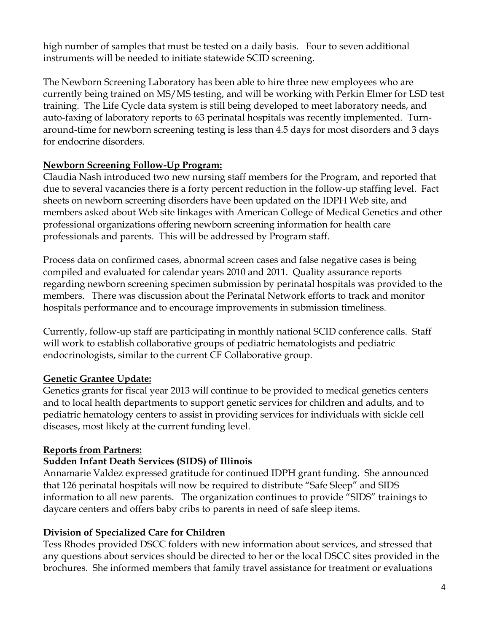high number of samples that must be tested on a daily basis. Four to seven additional instruments will be needed to initiate statewide SCID screening.

The Newborn Screening Laboratory has been able to hire three new employees who are currently being trained on MS/MS testing, and will be working with Perkin Elmer for LSD test training. The Life Cycle data system is still being developed to meet laboratory needs, and auto-faxing of laboratory reports to 63 perinatal hospitals was recently implemented. Turnaround-time for newborn screening testing is less than 4.5 days for most disorders and 3 days for endocrine disorders.

### **Newborn Screening Follow-Up Program:**

Claudia Nash introduced two new nursing staff members for the Program, and reported that due to several vacancies there is a forty percent reduction in the follow-up staffing level. Fact sheets on newborn screening disorders have been updated on the IDPH Web site, and members asked about Web site linkages with American College of Medical Genetics and other professional organizations offering newborn screening information for health care professionals and parents. This will be addressed by Program staff.

Process data on confirmed cases, abnormal screen cases and false negative cases is being compiled and evaluated for calendar years 2010 and 2011. Quality assurance reports regarding newborn screening specimen submission by perinatal hospitals was provided to the members. There was discussion about the Perinatal Network efforts to track and monitor hospitals performance and to encourage improvements in submission timeliness.

Currently, follow-up staff are participating in monthly national SCID conference calls. Staff will work to establish collaborative groups of pediatric hematologists and pediatric endocrinologists, similar to the current CF Collaborative group.

## **Genetic Grantee Update:**

Genetics grants for fiscal year 2013 will continue to be provided to medical genetics centers and to local health departments to support genetic services for children and adults, and to pediatric hematology centers to assist in providing services for individuals with sickle cell diseases, most likely at the current funding level.

### **Reports from Partners:**

### **Sudden Infant Death Services (SIDS) of Illinois**

Annamarie Valdez expressed gratitude for continued IDPH grant funding. She announced that 126 perinatal hospitals will now be required to distribute "Safe Sleep" and SIDS information to all new parents. The organization continues to provide "SIDS" trainings to daycare centers and offers baby cribs to parents in need of safe sleep items.

## **Division of Specialized Care for Children**

Tess Rhodes provided DSCC folders with new information about services, and stressed that any questions about services should be directed to her or the local DSCC sites provided in the brochures. She informed members that family travel assistance for treatment or evaluations